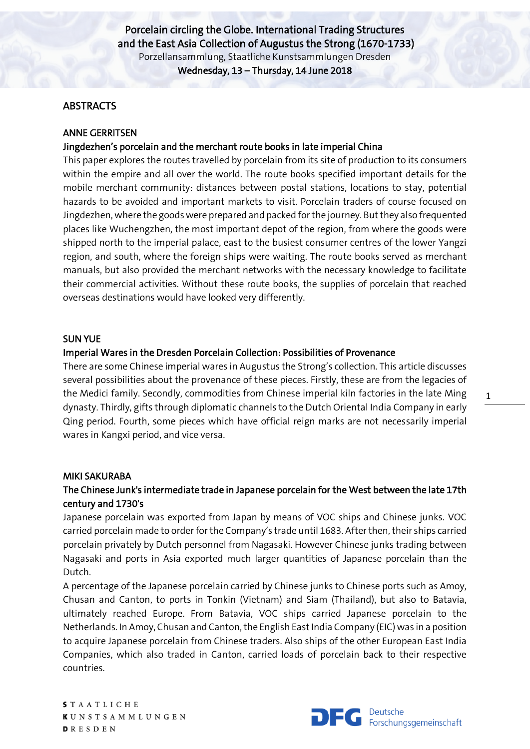## **ABSTRACTS**

## ANNE GERRITSEN

# Jingdezhen's porcelain and the merchant route books in late imperial China

This paper explores the routes travelled by porcelain from its site of production to its consumers within the empire and all over the world. The route books specified important details for the mobile merchant community: distances between postal stations, locations to stay, potential hazards to be avoided and important markets to visit. Porcelain traders of course focused on Jingdezhen, where the goods were prepared and packed for the journey. But they also frequented places like Wuchengzhen, the most important depot of the region, from where the goods were shipped north to the imperial palace, east to the busiest consumer centres of the lower Yangzi region, and south, where the foreign ships were waiting. The route books served as merchant manuals, but also provided the merchant networks with the necessary knowledge to facilitate their commercial activities. Without these route books, the supplies of porcelain that reached overseas destinations would have looked very differently.

#### SUN YUE

## Imperial Wares in the Dresden Porcelain Collection: Possibilities of Provenance

There are some Chinese imperial wares in Augustus the Strong's collection. This article discusses several possibilities about the provenance of these pieces. Firstly, these are from the legacies of the Medici family. Secondly, commodities from Chinese imperial kiln factories in the late Ming dynasty. Thirdly, gifts through diplomatic channels to the Dutch Oriental India Company in early Qing period. Fourth, some pieces which have official reign marks are not necessarily imperial wares in Kangxi period, and vice versa.

#### MIKI SAKURABA

# The Chinese Junk's intermediate trade in Japanese porcelain for the West between the late 17th century and 1730's

Japanese porcelain was exported from Japan by means of VOC ships and Chinese junks. VOC carried porcelain made to order for the Company's trade until 1683. After then, their ships carried porcelain privately by Dutch personnel from Nagasaki. However Chinese junks trading between Nagasaki and ports in Asia exported much larger quantities of Japanese porcelain than the Dutch.

A percentage of the Japanese porcelain carried by Chinese junks to Chinese ports such as Amoy, Chusan and Canton, to ports in Tonkin (Vietnam) and Siam (Thailand), but also to Batavia, ultimately reached Europe. From Batavia, VOC ships carried Japanese porcelain to the Netherlands. In Amoy, Chusan and Canton, the English East India Company (EIC) was in a position to acquire Japanese porcelain from Chinese traders. Also ships of the other European East India Companies, which also traded in Canton, carried loads of porcelain back to their respective countries.

**S** T A A T L I C H E **KUNSTSAMMLUNGEN**  $DRESDEN$ 



1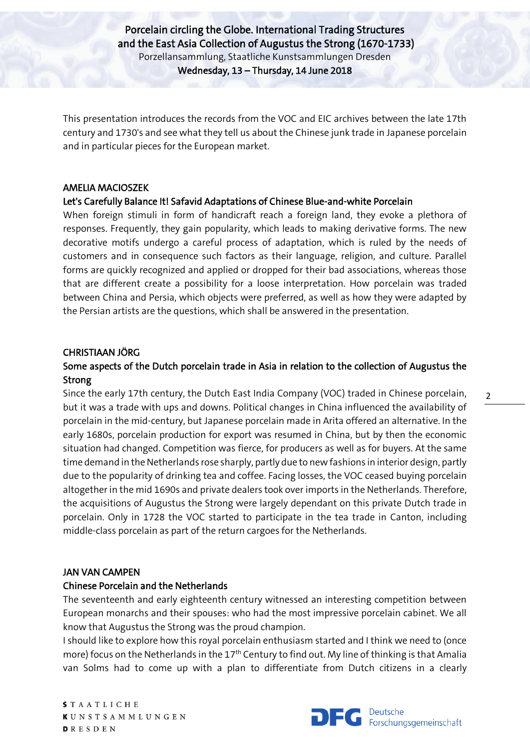This presentation introduces the records from the VOC and EIC archives between the late 17th century and 1730's and see what they tell us about the Chinese junk trade in Japanese porcelain and in particular pieces for the European market.

#### AMELIA MACIOSZEK

### Let's Carefully Balance It! Safavid Adaptations of Chinese Blue-and-white Porcelain

When foreign stimuli in form of handicraft reach a foreign land, they evoke a plethora of responses. Frequently, they gain popularity, which leads to making derivative forms. The new decorative motifs undergo a careful process of adaptation, which is ruled by the needs of customers and in consequence such factors as their language, religion, and culture. Parallel forms are quickly recognized and applied or dropped for their bad associations, whereas those that are different create a possibility for a loose interpretation. How porcelain was traded between China and Persia, which objects were preferred, as well as how they were adapted by the Persian artists are the questions, which shall be answered in the presentation.

### CHRISTIAAN JÖRG

# Some aspects of the Dutch porcelain trade in Asia in relation to the collection of Augustus the Strong

Since the early 17th century, the Dutch East India Company (VOC) traded in Chinese porcelain, but it was a trade with ups and downs. Political changes in China influenced the availability of porcelain in the mid-century, but Japanese porcelain made in Arita offered an alternative. In the early 1680s, porcelain production for export was resumed in China, but by then the economic situation had changed. Competition was fierce, for producers as well as for buyers. At the same time demand in the Netherlands rose sharply, partly due to new fashions in interior design, partly due to the popularity of drinking tea and coffee. Facing losses, the VOC ceased buying porcelain altogether in the mid 1690s and private dealers took over imports in the Netherlands. Therefore, the acquisitions of Augustus the Strong were largely dependant on this private Dutch trade in porcelain. Only in 1728 the VOC started to participate in the tea trade in Canton, including middle-class porcelain as part of the return cargoes for the Netherlands.

#### JAN VAN CAMPEN

#### Chinese Porcelain and the Netherlands

The seventeenth and early eighteenth century witnessed an interesting competition between European monarchs and their spouses: who had the most impressive porcelain cabinet. We all know that Augustus the Strong was the proud champion.

I should like to explore how this royal porcelain enthusiasm started and I think we need to (once more) focus on the Netherlands in the  $17<sup>th</sup>$  Century to find out. My line of thinking is that Amalia van Solms had to come up with a plan to differentiate from Dutch citizens in a clearly

**S** T A A T L I C H E **KUNSTSAMMLUNGEN D**RESDEN



2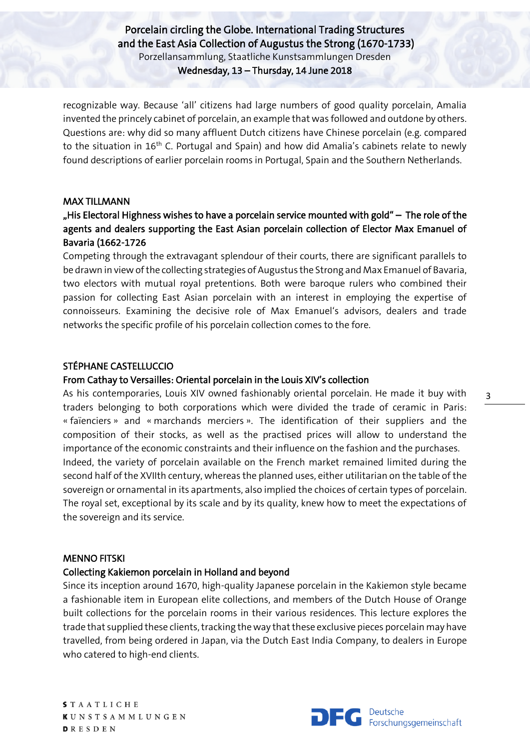recognizable way. Because 'all' citizens had large numbers of good quality porcelain, Amalia invented the princely cabinet of porcelain, an example that was followed and outdone by others. Questions are: why did so many affluent Dutch citizens have Chinese porcelain (e.g. compared to the situation in  $16<sup>th</sup>$  C. Portugal and Spain) and how did Amalia's cabinets relate to newly found descriptions of earlier porcelain rooms in Portugal, Spain and the Southern Netherlands.

### MAX TILLMANN

# "His Electoral Highness wishes to have a porcelain service mounted with gold" – The role of the agents and dealers supporting the East Asian porcelain collection of Elector Max Emanuel of Bavaria (1662-1726

Competing through the extravagant splendour of their courts, there are significant parallels to be drawn in view of the collecting strategies of Augustus the Strong and Max Emanuel of Bavaria, two electors with mutual royal pretentions. Both were baroque rulers who combined their passion for collecting East Asian porcelain with an interest in employing the expertise of connoisseurs. Examining the decisive role of Max Emanuel's advisors, dealers and trade networks the specific profile of his porcelain collection comes to the fore.

## STÉPHANE CASTELLUCCIO

## From Cathay to Versailles: Oriental porcelain in the Louis XIV's collection

As his contemporaries, Louis XIV owned fashionably oriental porcelain. He made it buy with traders belonging to both corporations which were divided the trade of ceramic in Paris: « faïenciers » and « marchands merciers ». The identification of their suppliers and the composition of their stocks, as well as the practised prices will allow to understand the importance of the economic constraints and their influence on the fashion and the purchases. Indeed, the variety of porcelain available on the French market remained limited during the second half of the XVIIth century, whereas the planned uses, either utilitarian on the table of the sovereign or ornamental in its apartments, also implied the choices of certain types of porcelain. The royal set, exceptional by its scale and by its quality, knew how to meet the expectations of the sovereign and its service.

## MENNO FITSKI

## Collecting Kakiemon porcelain in Holland and beyond

Since its inception around 1670, high-quality Japanese porcelain in the Kakiemon style became a fashionable item in European elite collections, and members of the Dutch House of Orange built collections for the porcelain rooms in their various residences. This lecture explores the trade that supplied these clients, tracking the way that these exclusive pieces porcelain may have travelled, from being ordered in Japan, via the Dutch East India Company, to dealers in Europe who catered to high-end clients.

**S** T A A T L I C H E **KUNSTSAMMLUNGEN**  $DRESDEN$ 

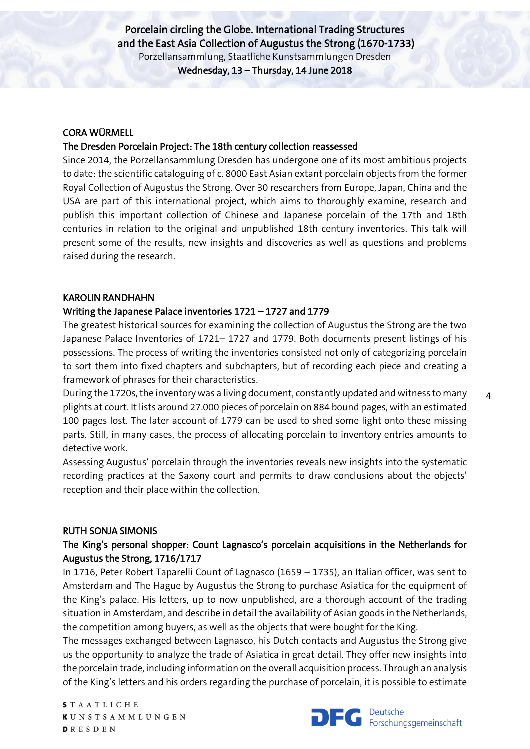## CORA WÜRMELL

# The Dresden Porcelain Project: The 18th century collection reassessed

Since 2014, the Porzellansammlung Dresden has undergone one of its most ambitious projects to date: the scientific cataloguing of c. 8000 East Asian extant porcelain objects from the former Royal Collection of Augustus the Strong. Over 30 researchers from Europe, Japan, China and the USA are part of this international project, which aims to thoroughly examine, research and publish this important collection of Chinese and Japanese porcelain of the 17th and 18th centuries in relation to the original and unpublished 18th century inventories. This talk will present some of the results, new insights and discoveries as well as questions and problems raised during the research.

# KAROLIN RANDHAHN

# Writing the Japanese Palace inventories 1721 – 1727 and 1779

The greatest historical sources for examining the collection of Augustus the Strong are the two Japanese Palace Inventories of 1721– 1727 and 1779. Both documents present listings of his possessions. The process of writing the inventories consisted not only of categorizing porcelain to sort them into fixed chapters and subchapters, but of recording each piece and creating a framework of phrases for their characteristics.

During the 1720s, the inventory was a living document, constantly updated and witness to many plights at court. It lists around 27.000 pieces of porcelain on 884 bound pages, with an estimated 100 pages lost. The later account of 1779 can be used to shed some light onto these missing parts. Still, in many cases, the process of allocating porcelain to inventory entries amounts to detective work.

Assessing Augustus' porcelain through the inventories reveals new insights into the systematic recording practices at the Saxony court and permits to draw conclusions about the objects' reception and their place within the collection.

## RUTH SONJA SIMONIS

# The King's personal shopper: Count Lagnasco's porcelain acquisitions in the Netherlands for Augustus the Strong, 1716/1717

In 1716, Peter Robert Taparelli Count of Lagnasco (1659 – 1735), an Italian officer, was sent to Amsterdam and The Hague by Augustus the Strong to purchase Asiatica for the equipment of the King's palace. His letters, up to now unpublished, are a thorough account of the trading situation in Amsterdam, and describe in detail the availability of Asian goods in the Netherlands, the competition among buyers, as well as the objects that were bought for the King.

The messages exchanged between Lagnasco, his Dutch contacts and Augustus the Strong give us the opportunity to analyze the trade of Asiatica in great detail. They offer new insights into the porcelain trade, including information on the overall acquisition process. Through an analysis of the King's letters and his orders regarding the purchase of porcelain, it is possible to estimate

**S** T A A T L I C H E **KUNSTSAMMLUNGEN D**RESDEN

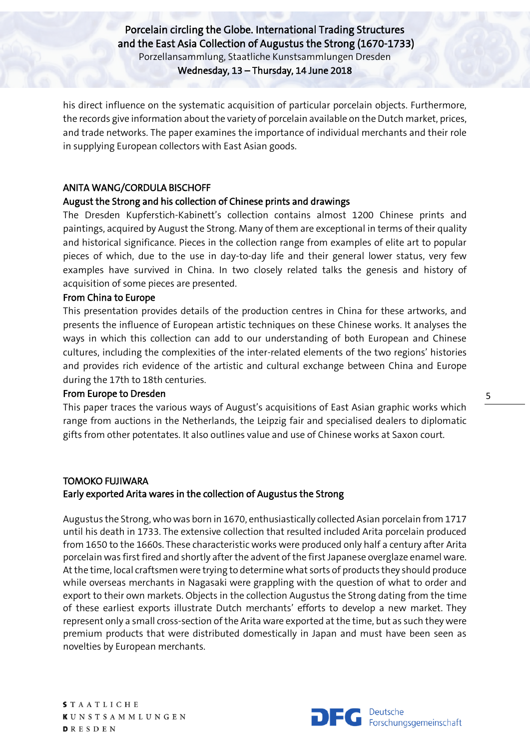his direct influence on the systematic acquisition of particular porcelain objects. Furthermore, the records give information about the variety of porcelain available on the Dutch market, prices, and trade networks. The paper examines the importance of individual merchants and their role in supplying European collectors with East Asian goods.

#### ANITA WANG/CORDULA BISCHOFF

#### August the Strong and his collection of Chinese prints and drawings

The Dresden Kupferstich-Kabinett's collection contains almost 1200 Chinese prints and paintings, acquired by August the Strong. Many of them are exceptional in terms of their quality and historical significance. Pieces in the collection range from examples of elite art to popular pieces of which, due to the use in day-to-day life and their general lower status, very few examples have survived in China. In two closely related talks the genesis and history of acquisition of some pieces are presented.

#### From China to Europe

This presentation provides details of the production centres in China for these artworks, and presents the influence of European artistic techniques on these Chinese works. It analyses the ways in which this collection can add to our understanding of both European and Chinese cultures, including the complexities of the inter-related elements of the two regions' histories and provides rich evidence of the artistic and cultural exchange between China and Europe during the 17th to 18th centuries.

#### From Europe to Dresden

This paper traces the various ways of August's acquisitions of East Asian graphic works which range from auctions in the Netherlands, the Leipzig fair and specialised dealers to diplomatic gifts from other potentates. It also outlines value and use of Chinese works at Saxon court.

## TOMOKO FUJIWARA Early exported Arita wares in the collection of Augustus the Strong

Augustus the Strong, who was born in 1670, enthusiastically collected Asian porcelain from 1717 until his death in 1733. The extensive collection that resulted included Arita porcelain produced from 1650 to the 1660s. These characteristic works were produced only half a century after Arita porcelain was first fired and shortly after the advent of the first Japanese overglaze enamel ware. At the time, local craftsmen were trying to determine what sorts of products they should produce while overseas merchants in Nagasaki were grappling with the question of what to order and export to their own markets. Objects in the collection Augustus the Strong dating from the time of these earliest exports illustrate Dutch merchants' efforts to develop a new market. They represent only a small cross-section of the Arita ware exported at the time, but as such they were premium products that were distributed domestically in Japan and must have been seen as novelties by European merchants.

**S** T A A T L I C H E **KUNSTSAMMLUNGEN**  $DRESDEN$